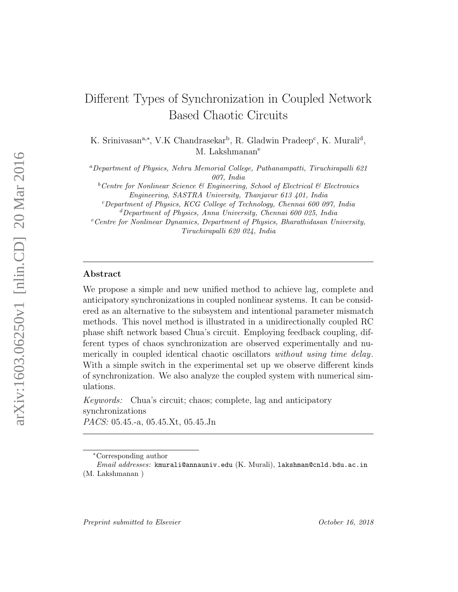# Different Types of Synchronization in Coupled Network Based Chaotic Circuits

K. Srinivasan<sup>a,\*</sup>, V.K Chandrasekar<sup>b</sup>, R. Gladwin Pradeep<sup>c</sup>, K. Murali<sup>d</sup>, M. Lakshmanan<sup>e</sup>

<sup>a</sup>Department of Physics, Nehru Memorial College, Puthanampatti, Tiruchirapalli 621 007, India

 ${}^b$ Centre for Nonlinear Science & Engineering, School of Electrical & Electronics Engineering, SASTRA University, Thanjavur 613 401, India

 $c$ Department of Physics, KCG College of Technology, Chennai 600 097, India  ${}^d$ Department of Physics, Anna University, Chennai 600 025, India

 $e$ <sup>e</sup>Centre for Nonlinear Dynamics, Department of Physics, Bharathidasan University, Tiruchirapalli 620 024, India

#### Abstract

We propose a simple and new unified method to achieve lag, complete and anticipatory synchronizations in coupled nonlinear systems. It can be considered as an alternative to the subsystem and intentional parameter mismatch methods. This novel method is illustrated in a unidirectionally coupled RC phase shift network based Chua's circuit. Employing feedback coupling, different types of chaos synchronization are observed experimentally and numerically in coupled identical chaotic oscillators *without using time delay*. With a simple switch in the experimental set up we observe different kinds of synchronization. We also analyze the coupled system with numerical simulations.

*Keywords:* Chua's circuit; chaos; complete, lag and anticipatory synchronizations *PACS:* 05.45.-a, 05.45.Xt, 05.45.Jn

<sup>∗</sup>Corresponding author

Email addresses: kmurali@annauniv.edu (K. Murali), lakshman@cnld.bdu.ac.in (M. Lakshmanan )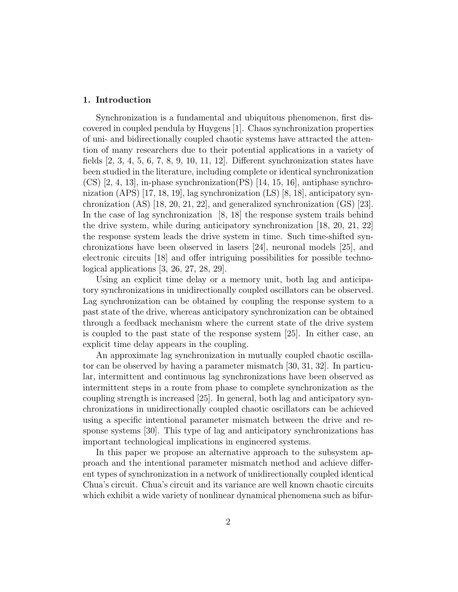### 1. Introduction

Synchronization is a fundamental and ubiquitous phenomenon, first discovered in coupled pendula by Huygens [1]. Chaos synchronization properties of uni- and bidirectionally coupled chaotic systems have attracted the attention of many researchers due to their potential applications in a variety of fields [2, 3, 4, 5, 6, 7, 8, 9, 10, 11, 12]. Different synchronization states have been studied in the literature, including complete or identical synchronization  $(CS)$  [2, 4, 13], in-phase synchronization(PS) [14, 15, 16], antiphase synchronization (APS) [17, 18, 19], lag synchronization (LS) [8, 18], anticipatory synchronization (AS) [18, 20, 21, 22], and generalized synchronization (GS) [23]. In the case of lag synchronization [8, 18] the response system trails behind the drive system, while during anticipatory synchronization [18, 20, 21, 22] the response system leads the drive system in time. Such time-shifted synchronizations have been observed in lasers [24], neuronal models [25], and electronic circuits [18] and offer intriguing possibilities for possible technological applications [3, 26, 27, 28, 29].

Using an explicit time delay or a memory unit, both lag and anticipatory synchronizations in unidirectionally coupled oscillators can be observed. Lag synchronization can be obtained by coupling the response system to a past state of the drive, whereas anticipatory synchronization can be obtained through a feedback mechanism where the current state of the drive system is coupled to the past state of the response system [25]. In either case, an explicit time delay appears in the coupling.

An approximate lag synchronization in mutually coupled chaotic oscillator can be observed by having a parameter mismatch [30, 31, 32]. In particular, intermittent and continuous lag synchronizations have been observed as intermittent steps in a route from phase to complete synchronization as the coupling strength is increased [25]. In general, both lag and anticipatory synchronizations in unidirectionally coupled chaotic oscillators can be achieved using a specific intentional parameter mismatch between the drive and response systems [30]. This type of lag and anticipatory synchronizations has important technological implications in engineered systems.

In this paper we propose an alternative approach to the subsystem approach and the intentional parameter mismatch method and achieve different types of synchronization in a network of unidirectionally coupled identical Chua's circuit. Chua's circuit and its variance are well known chaotic circuits which exhibit a wide variety of nonlinear dynamical phenomena such as bifur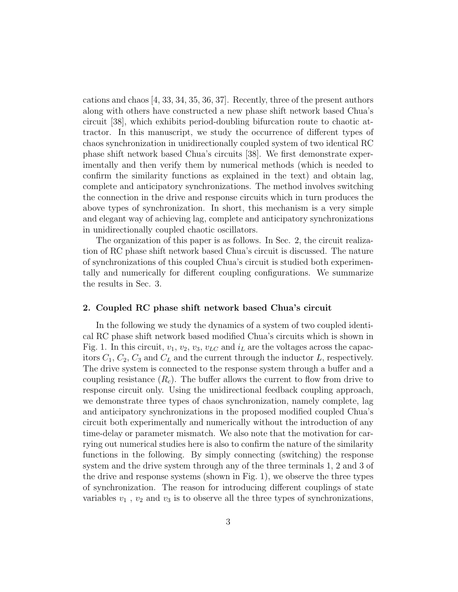cations and chaos [4, 33, 34, 35, 36, 37]. Recently, three of the present authors along with others have constructed a new phase shift network based Chua's circuit [38], which exhibits period-doubling bifurcation route to chaotic attractor. In this manuscript, we study the occurrence of different types of chaos synchronization in unidirectionally coupled system of two identical RC phase shift network based Chua's circuits [38]. We first demonstrate experimentally and then verify them by numerical methods (which is needed to confirm the similarity functions as explained in the text) and obtain lag, complete and anticipatory synchronizations. The method involves switching the connection in the drive and response circuits which in turn produces the above types of synchronization. In short, this mechanism is a very simple and elegant way of achieving lag, complete and anticipatory synchronizations in unidirectionally coupled chaotic oscillators.

The organization of this paper is as follows. In Sec. 2, the circuit realization of RC phase shift network based Chua's circuit is discussed. The nature of synchronizations of this coupled Chua's circuit is studied both experimentally and numerically for different coupling configurations. We summarize the results in Sec. 3.

#### 2. Coupled RC phase shift network based Chua's circuit

In the following we study the dynamics of a system of two coupled identical RC phase shift network based modified Chua's circuits which is shown in Fig. 1. In this circuit,  $v_1, v_2, v_3, v_{LC}$  and  $i_L$  are the voltages across the capacitors  $C_1$ ,  $C_2$ ,  $C_3$  and  $C_L$  and the current through the inductor  $L$ , respectively. The drive system is connected to the response system through a buffer and a coupling resistance  $(R_c)$ . The buffer allows the current to flow from drive to response circuit only. Using the unidirectional feedback coupling approach, we demonstrate three types of chaos synchronization, namely complete, lag and anticipatory synchronizations in the proposed modified coupled Chua's circuit both experimentally and numerically without the introduction of any time-delay or parameter mismatch. We also note that the motivation for carrying out numerical studies here is also to confirm the nature of the similarity functions in the following. By simply connecting (switching) the response system and the drive system through any of the three terminals 1, 2 and 3 of the drive and response systems (shown in Fig. 1), we observe the three types of synchronization. The reason for introducing different couplings of state variables  $v_1$ ,  $v_2$  and  $v_3$  is to observe all the three types of synchronizations,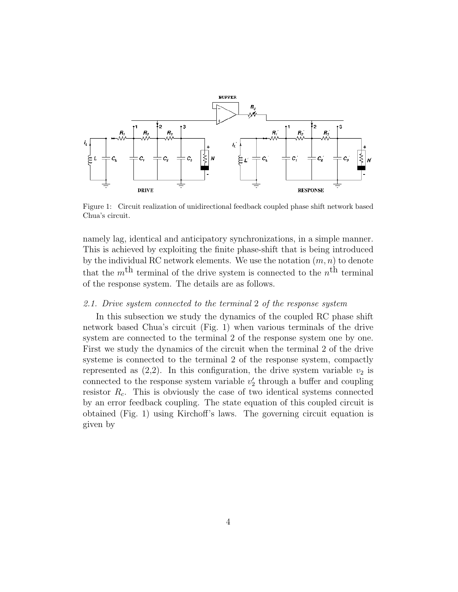

Figure 1: Circuit realization of unidirectional feedback coupled phase shift network based Chua's circuit.

namely lag, identical and anticipatory synchronizations, in a simple manner. This is achieved by exploiting the finite phase-shift that is being introduced by the individual RC network elements. We use the notation  $(m, n)$  to denote that the  $m<sup>th</sup>$  terminal of the drive system is connected to the  $n<sup>th</sup>$  terminal of the response system. The details are as follows.

## *2.1. Drive system connected to the terminal* 2 *of the response system*

In this subsection we study the dynamics of the coupled RC phase shift network based Chua's circuit (Fig. 1) when various terminals of the drive system are connected to the terminal 2 of the response system one by one. First we study the dynamics of the circuit when the terminal 2 of the drive systeme is connected to the terminal 2 of the response system, compactly represented as  $(2,2)$ . In this configuration, the drive system variable  $v_2$  is connected to the response system variable  $v_2'$  $\frac{1}{2}$  through a buffer and coupling resistor  $R_c$ . This is obviously the case of two identical systems connected by an error feedback coupling. The state equation of this coupled circuit is obtained (Fig. 1) using Kirchoff's laws. The governing circuit equation is given by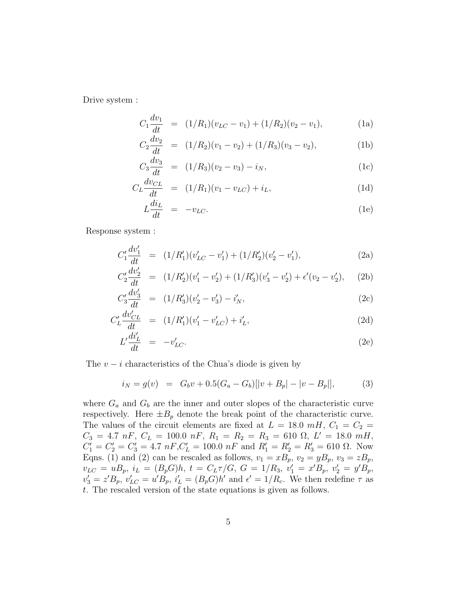Drive system :

$$
C_1 \frac{dv_1}{dt} = (1/R_1)(v_{LC} - v_1) + (1/R_2)(v_2 - v_1), \tag{1a}
$$

$$
C_2 \frac{dv_2}{dt} = (1/R_2)(v_1 - v_2) + (1/R_3)(v_3 - v_2), \tag{1b}
$$

$$
C_3 \frac{dv_3}{dt} = (1/R_3)(v_2 - v_3) - i_N,
$$
\n(1c)

$$
C_L \frac{dv_{CL}}{dt} = (1/R_1)(v_1 - v_{LC}) + i_L,
$$
\n(1d)

$$
L\frac{di_L}{dt} = -v_{LC}.\tag{1e}
$$

Response system :

 $\ddot{\phantom{0}}$ 

$$
C_1' \frac{dv_1'}{dt} = (1/R_1')(v_{LC}' - v_1') + (1/R_2')(v_2' - v_1'), \tag{2a}
$$

$$
C_2' \frac{dv_2'}{dt} = (1/R_2')(v_1' - v_2') + (1/R_3')(v_3' - v_2') + \epsilon'(v_2 - v_2'), \quad (2b)
$$

$$
C_3' \frac{dv_3'}{dt} = (1/R_3')(v_2' - v_3') - i_N',
$$
\n(2c)

$$
C_L' \frac{dv'_{CL}}{dt} = (1/R'_1)(v'_1 - v'_{LC}) + i'_L,
$$
\n(2d)

$$
L'\frac{di'_L}{dt} = -v'_{LC}.\tag{2e}
$$

The  $v - i$  characteristics of the Chua's diode is given by

$$
i_N = g(v) = G_b v + 0.5(G_a - G_b)[|v + B_p| - |v - B_p|],
$$
 (3)

where  $G_a$  and  $G_b$  are the inner and outer slopes of the characteristic curve respectively. Here  $\pm B_p$  denote the break point of the characteristic curve. The values of the circuit elements are fixed at  $L = 18.0$  mH,  $C_1 = C_2$  =  $C_3 = 4.7 \; nF, \; C_L = 100.0 \; nF, \; R_1 = R_2 = R_3 = 610 \; \Omega, \; L' = 18.0 \; mH,$  $C'_1 = C'_2 = C'_3 = 4.7 \; nF, C'_L = 100.0 \; nF \text{ and } R'_1 = R'_2 = R'_3 = 610 \; \Omega.$  Now Eqns. (1) and (2) can be rescaled as follows,  $v_1 = xB_p$ ,  $v_2 = yB_p$ ,  $v_3 = zB_p$ ,  $v_{LC} = uB_p, i_L = (B_p G)h, t = C_L \tau / G, G = 1/R_3, v'_1 = x'B_p, v'_2 = y'B_p,$  $v'_3 = z' B_p, v'_{LC} = u' B_p, i'_L = (B_p G) h'$  and  $\epsilon' = 1/R_c$ . We then redefine  $\tau$  as t. The rescaled version of the state equations is given as follows.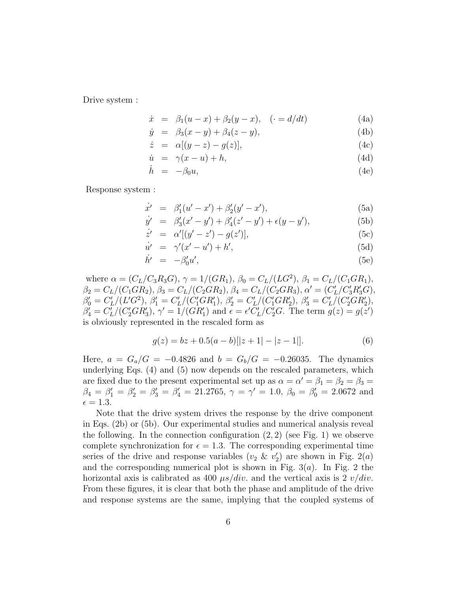Drive system :

$$
\dot{x} = \beta_1(u - x) + \beta_2(y - x), \quad (-d/dt) \tag{4a}
$$

$$
\dot{y} = \beta_3(x - y) + \beta_4(z - y), \tag{4b}
$$

$$
\dot{z} = \alpha[(y-z) - g(z)], \qquad (4c)
$$

$$
\dot{u} = \gamma(x - u) + h,\tag{4d}
$$

$$
\dot{h} = -\beta_0 u,\tag{4e}
$$

Response system :

$$
\dot{x}' = \beta_1'(u'-x') + \beta_2'(y'-x'), \tag{5a}
$$

$$
\dot{y}' = \beta_3'(x'-y') + \beta_4'(z'-y') + \epsilon(y-y'), \tag{5b}
$$

$$
\dot{z}' = \alpha'[(y'-z') - g(z')], \tag{5c}
$$

$$
\dot{u}' = \gamma'(x'-u') + h',\tag{5d}
$$

$$
\dot{h}' = -\beta_0' u',\tag{5e}
$$

where  $\alpha = (C_L/C_3R_3G), \gamma = 1/(GR_1), \beta_0 = C_L/(LG^2), \beta_1 = C_L/(C_1GR_1),$  $\beta_2 = C_L/(C_1GR_2), \beta_3 = C_L/(C_2GR_2), \beta_4 = C_L/(C_2GR_3), \alpha' = (C_L'/C_3'R_3'G),$ L  $\beta'_0 = C'_l$  $\int_L^{\prime}/(L'G^2), \beta'_1 = C'_1$  $\int_L'/(C_1'GR_1'), \ \beta_2' = C_1'$  $L'/(C'_{1}GR'_{2}), \ \beta'_{3}=C'_{1}$  $\frac{n}{L}/\overline{(C'_2GR'_2)},$  $\beta'_4 = C'_I$  $L^2/(C_2'GR_3'), \gamma' = 1/(GR_1')$  and  $\epsilon = \epsilon'C_1'$  $\int_L^{\prime} / C_2^{\prime} G$ . The term  $g(z) = g(z^{\prime})$ is obviously represented in the rescaled form as

$$
g(z) = bz + 0.5(a - b)[|z + 1| - |z - 1|].
$$
\n(6)

Here,  $a = G_a/G = -0.4826$  and  $b = G_b/G = -0.26035$ . The dynamics underlying Eqs. (4) and (5) now depends on the rescaled parameters, which are fixed due to the present experimental set up as  $\alpha = \alpha' = \beta_1 = \beta_2 = \beta_3 =$  $\beta_4 = \beta_1' = \beta_2' = \beta_3' = \beta_4' = 21.2765, \gamma = \gamma' = 1.0, \ \beta_0 = \beta_0' = 2.0672$  and  $\epsilon = 1.3.$ 

Note that the drive system drives the response by the drive component in Eqs. (2b) or (5b). Our experimental studies and numerical analysis reveal the following. In the connection configuration  $(2, 2)$  (see Fig. 1) we observe complete synchronization for  $\epsilon = 1.3$ . The corresponding experimental time series of the drive and response variables ( $v_2$  &  $v_2'$ )  $2<sub>2</sub>$ ) are shown in Fig. 2(*a*) and the corresponding numerical plot is shown in Fig.  $3(a)$ . In Fig. 2 the horizontal axis is calibrated as 400  $\mu s/div$ . and the vertical axis is 2  $v/div$ . From these figures, it is clear that both the phase and amplitude of the drive and response systems are the same, implying that the coupled systems of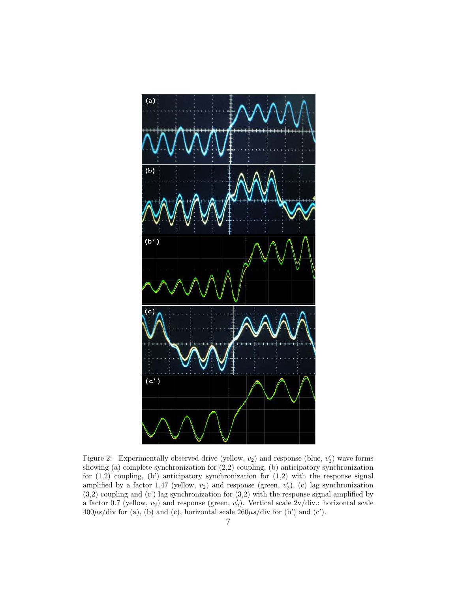

Figure 2: Experimentally observed drive (yellow,  $v_2$ ) and response (blue,  $v_2'$ ) wave forms showing (a) complete synchronization for  $(2,2)$  coupling, (b) anticipatory synchronization for  $(1,2)$  coupling,  $(b')$  anticipatory synchronization for  $(1,2)$  with the response signal amplified by a factor 1.47 (yellow,  $v_2$ ) and response (green,  $v_2'$ ), (c) lag synchronization  $(3,2)$  coupling and  $(c)$  lag synchronization for  $(3,2)$  with the response signal amplified by a factor 0.7 (yellow,  $v_2$ ) and response (green,  $v_2'$ ). Vertical scale  $2v/div$ . horizontal scale  $400\mu s$ /div for (a), (b) and (c), horizontal scale  $260\mu s$ /div for (b') and (c').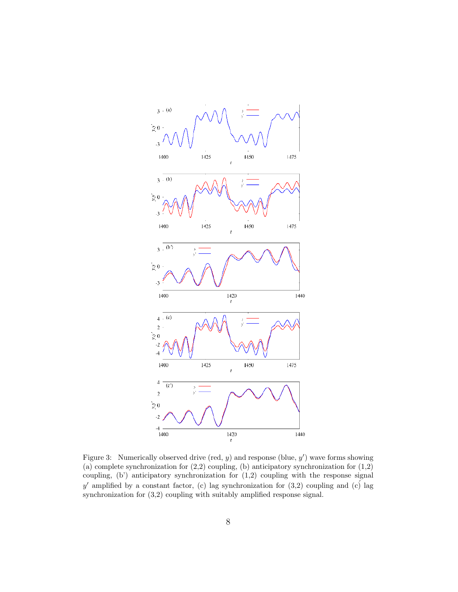

Figure 3: Numerically observed drive (red,  $y$ ) and response (blue,  $y'$ ) wave forms showing (a) complete synchronization for  $(2,2)$  coupling, (b) anticipatory synchronization for  $(1,2)$ coupling,  $(b')$  anticipatory synchronization for  $(1,2)$  coupling with the response signal y' amplified by a constant factor, (c) lag synchronization for  $(3,2)$  coupling and  $(c)$  lag synchronization for (3,2) coupling with suitably amplified response signal.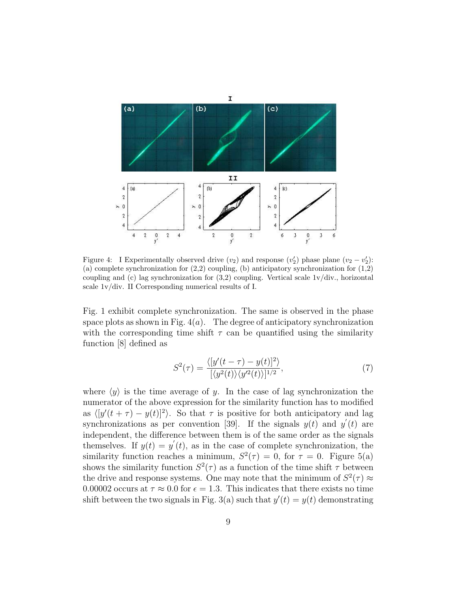

Figure 4: I Experimentally observed drive  $(v_2)$  and response  $(v_2')$  phase plane  $(v_2 - v_2')$ : (a) complete synchronization for  $(2,2)$  coupling, (b) anticipatory synchronization for  $(1,2)$ coupling and (c) lag synchronization for  $(3,2)$  coupling. Vertical scale  $1v/div$ , horizontal scale 1v/div. II Corresponding numerical results of I.

Fig. 1 exhibit complete synchronization. The same is observed in the phase space plots as shown in Fig.  $4(a)$ . The degree of anticipatory synchronization with the corresponding time shift  $\tau$  can be quantified using the similarity function [8] defined as

$$
S^{2}(\tau) = \frac{\langle [y'(t-\tau) - y(t)]^{2} \rangle}{[\langle y^{2}(t) \rangle \langle y'^{2}(t) \rangle]^{1/2}},\tag{7}
$$

where  $\langle y \rangle$  is the time average of y. In the case of lag synchronization the numerator of the above expression for the similarity function has to modified as  $\langle [y'(t + \tau) - y(t)]^2 \rangle$ . So that  $\tau$  is positive for both anticipatory and lag synchronizations as per convention [39]. If the signals  $y(t)$  and  $y'(t)$  are independent, the difference between them is of the same order as the signals themselves. If  $y(t) = y'(t)$ , as in the case of complete synchronization, the similarity function reaches a minimum,  $S^2(\tau) = 0$ , for  $\tau = 0$ . Figure 5(a) shows the similarity function  $S^2(\tau)$  as a function of the time shift  $\tau$  between the drive and response systems. One may note that the minimum of  $S^2(\tau) \approx$ 0.00002 occurs at  $\tau \approx 0.0$  for  $\epsilon = 1.3$ . This indicates that there exists no time shift between the two signals in Fig. 3(a) such that  $y'(t) = y(t)$  demonstrating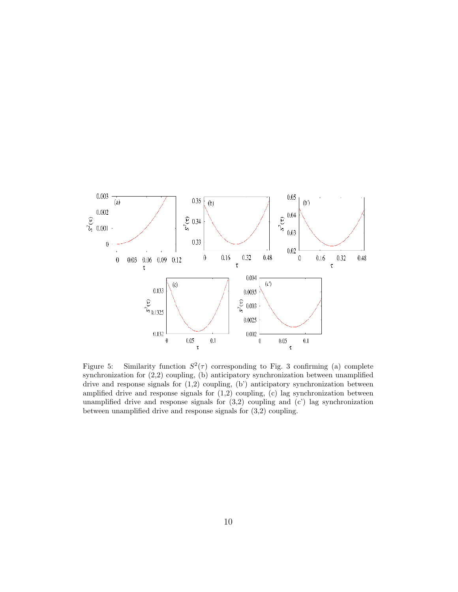

Figure 5: Similarity function  $S^2(\tau)$  corresponding to Fig. 3 confirming (a) complete synchronization for (2,2) coupling, (b) anticipatory synchronization between unamplified drive and response signals for (1,2) coupling, (b') anticipatory synchronization between amplified drive and response signals for  $(1,2)$  coupling,  $(c)$  lag synchronization between unamplified drive and response signals for  $(3,2)$  coupling and  $(c')$  lag synchronization between unamplified drive and response signals for (3,2) coupling.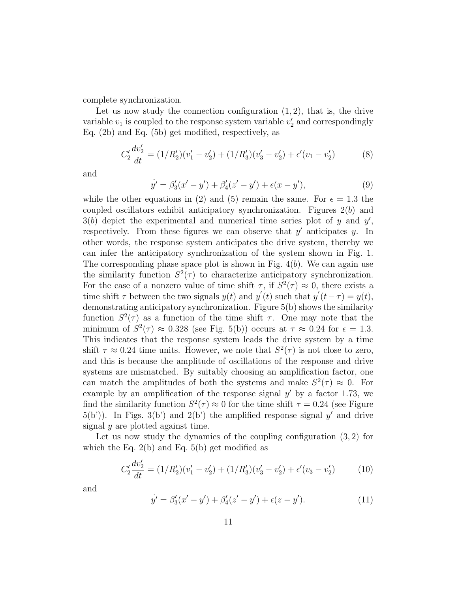complete synchronization.

Let us now study the connection configuration  $(1, 2)$ , that is, the drive variable  $v_1$  is coupled to the response system variable  $v_2'$  $y_2'$  and correspondingly Eq. (2b) and Eq. (5b) get modified, respectively, as

$$
C_2' \frac{dv_2'}{dt} = (1/R_2')(v_1' - v_2') + (1/R_3')(v_3' - v_2') + \epsilon'(v_1 - v_2')
$$
 (8)

and

$$
\dot{y}' = \beta_3'(x' - y') + \beta_4'(z' - y') + \epsilon(x - y'),\tag{9}
$$

while the other equations in (2) and (5) remain the same. For  $\epsilon = 1.3$  the coupled oscillators exhibit anticipatory synchronization. Figures  $2(b)$  and  $3(b)$  depict the experimental and numerical time series plot of y and y', respectively. From these figures we can observe that  $y'$  anticipates  $y$ . In other words, the response system anticipates the drive system, thereby we can infer the anticipatory synchronization of the system shown in Fig. 1. The corresponding phase space plot is shown in Fig.  $4(b)$ . We can again use the similarity function  $S^2(\tau)$  to characterize anticipatory synchronization. For the case of a nonzero value of time shift  $\tau$ , if  $S^2(\tau) \approx 0$ , there exists a time shift  $\tau$  between the two signals  $y(t)$  and  $y'(t)$  such that  $y'(t-\tau) = y(t)$ , demonstrating anticipatory synchronization. Figure 5(b) shows the similarity function  $S^2(\tau)$  as a function of the time shift  $\tau$ . One may note that the minimum of  $S^2(\tau) \approx 0.328$  (see Fig. 5(b)) occurs at  $\tau \approx 0.24$  for  $\epsilon = 1.3$ . This indicates that the response system leads the drive system by a time shift  $\tau \approx 0.24$  time units. However, we note that  $S^2(\tau)$  is not close to zero, and this is because the amplitude of oscillations of the response and drive systems are mismatched. By suitably choosing an amplification factor, one can match the amplitudes of both the systems and make  $S^2(\tau) \approx 0$ . For example by an amplification of the response signal  $y'$  by a factor 1.73, we find the similarity function  $S^2(\tau) \approx 0$  for the time shift  $\tau = 0.24$  (see Figure  $5(b')$ ). In Figs.  $3(b')$  and  $2(b')$  the amplified response signal y' and drive signal  $y$  are plotted against time.

Let us now study the dynamics of the coupling configuration  $(3, 2)$  for which the Eq.  $2(b)$  and Eq.  $5(b)$  get modified as

$$
C_2' \frac{dv_2'}{dt} = (1/R_2')(v_1' - v_2') + (1/R_3')(v_3' - v_2') + \epsilon'(v_3 - v_2')
$$
 (10)

and

$$
\dot{y}' = \beta_3'(x' - y') + \beta_4'(z' - y') + \epsilon(z - y'). \tag{11}
$$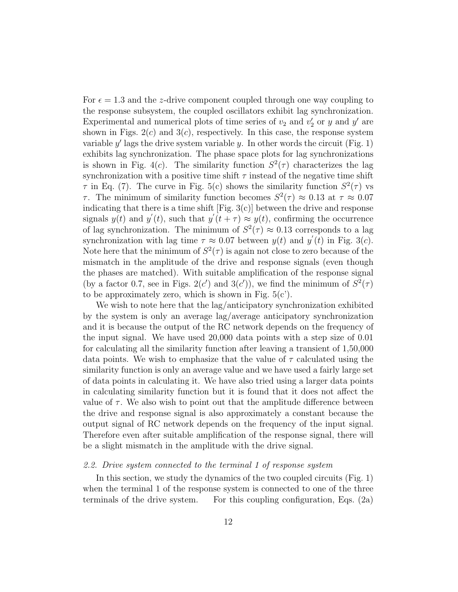For  $\epsilon = 1.3$  and the z-drive component coupled through one way coupling to the response subsystem, the coupled oscillators exhibit lag synchronization. Experimental and numerical plots of time series of  $v_2$  and  $v_2'$  $y'_2$  or y and y' are shown in Figs.  $2(c)$  and  $3(c)$ , respectively. In this case, the response system variable  $y'$  lags the drive system variable  $y$ . In other words the circuit (Fig. 1) exhibits lag synchronization. The phase space plots for lag synchronizations is shown in Fig. 4(c). The similarity function  $S^2(\tau)$  characterizes the lag synchronization with a positive time shift  $\tau$  instead of the negative time shift  $\tau$  in Eq. (7). The curve in Fig. 5(c) shows the similarity function  $S^2(\tau)$  vs  $\tau$ . The minimum of similarity function becomes  $S^2(\tau) \approx 0.13$  at  $\tau \approx 0.07$ indicating that there is a time shift  $[Fig. 3(c)]$  between the drive and response signals  $y(t)$  and  $y'(t)$ , such that  $y'(t+\tau) \approx y(t)$ , confirming the occurrence of lag synchronization. The minimum of  $S^2(\tau) \approx 0.13$  corresponds to a lag synchronization with lag time  $\tau \approx 0.07$  between  $y(t)$  and  $y'(t)$  in Fig. 3(c). Note here that the minimum of  $S^2(\tau)$  is again not close to zero because of the mismatch in the amplitude of the drive and response signals (even though the phases are matched). With suitable amplification of the response signal (by a factor 0.7, see in Figs. 2(c') and 3(c')), we find the minimum of  $S^2(\tau)$ to be approximately zero, which is shown in Fig.  $5(c')$ .

We wish to note here that the lag/anticipatory synchronization exhibited by the system is only an average lag/average anticipatory synchronization and it is because the output of the RC network depends on the frequency of the input signal. We have used 20,000 data points with a step size of 0.01 for calculating all the similarity function after leaving a transient of 1,50,000 data points. We wish to emphasize that the value of  $\tau$  calculated using the similarity function is only an average value and we have used a fairly large set of data points in calculating it. We have also tried using a larger data points in calculating similarity function but it is found that it does not affect the value of  $\tau$ . We also wish to point out that the amplitude difference between the drive and response signal is also approximately a constant because the output signal of RC network depends on the frequency of the input signal. Therefore even after suitable amplification of the response signal, there will be a slight mismatch in the amplitude with the drive signal.

#### *2.2. Drive system connected to the terminal 1 of response system*

In this section, we study the dynamics of the two coupled circuits (Fig. 1) when the terminal 1 of the response system is connected to one of the three terminals of the drive system. For this coupling configuration, Eqs. (2a)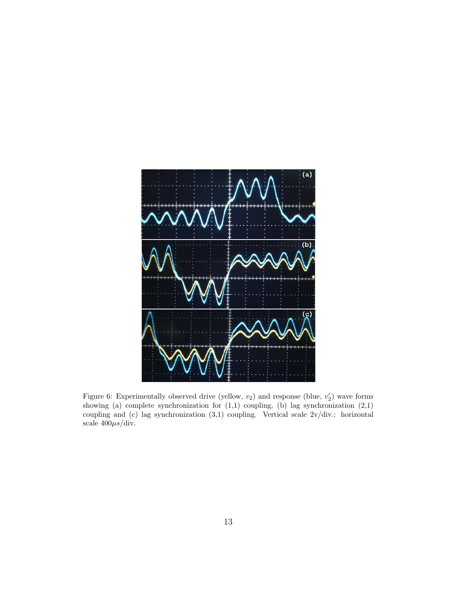

Figure 6: Experimentally observed drive (yellow,  $v_2$ ) and response (blue,  $v_2'$ ) wave forms showing (a) complete synchronization for  $(1,1)$  coupling, (b) lag synchronization  $(2,1)$ coupling and (c) lag synchronization (3,1) coupling. Vertical scale 2v/div.: horizontal scale  $400\mu s$ /div.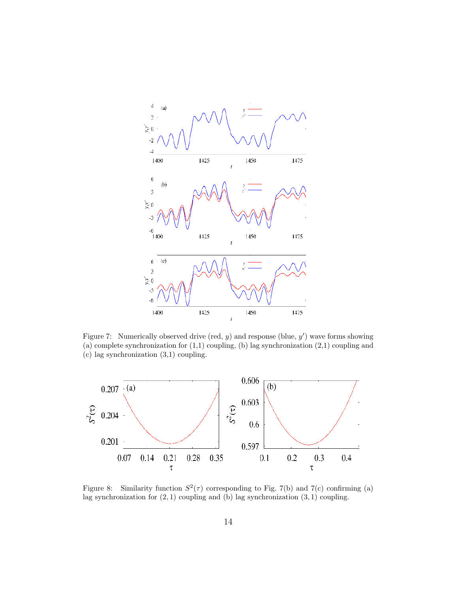

Figure 7: Numerically observed drive (red,  $y$ ) and response (blue,  $y'$ ) wave forms showing (a) complete synchronization for (1,1) coupling, (b) lag synchronization (2,1) coupling and (c) lag synchronization (3,1) coupling.



Figure 8: Similarity function  $S^2(\tau)$  corresponding to Fig. 7(b) and 7(c) confirming (a) lag synchronization for  $(2, 1)$  coupling and  $(b)$  lag synchronization  $(3, 1)$  coupling.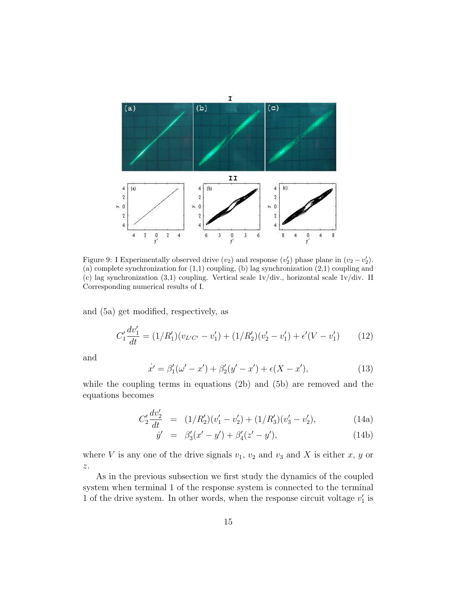

Figure 9: I Experimentally observed drive  $(v_2)$  and response  $(v_2')$  phase plane in  $(v_2 - v_2')$ . (a) complete synchronization for (1,1) coupling, (b) lag synchronization (2,1) coupling and (c) lag synchronization (3,1) coupling. Vertical scale 1v/div., horizontal scale 1v/div. II Corresponding numerical results of I.

and (5a) get modified, respectively, as

$$
C_1' \frac{dv_1'}{dt} = (1/R_1')(v_{L'C'} - v_1') + (1/R_2')(v_2' - v_1') + \epsilon'(V - v_1')
$$
 (12)

and

$$
\dot{x}' = \beta_1'(\omega' - x') + \beta_2'(y' - x') + \epsilon(X - x'),\tag{13}
$$

while the coupling terms in equations (2b) and (5b) are removed and the equations becomes

$$
C_2' \frac{dv_2'}{dt} = (1/R_2')(v_1' - v_2') + (1/R_3')(v_3' - v_2'), \tag{14a}
$$

$$
\dot{y}' = \beta_3'(x'-y') + \beta_4'(z'-y'), \qquad (14b)
$$

where V is any one of the drive signals  $v_1$ ,  $v_2$  and  $v_3$  and X is either x, y or z.

As in the previous subsection we first study the dynamics of the coupled system when terminal 1 of the response system is connected to the terminal 1 of the drive system. In other words, when the response circuit voltage  $v_1$  $_1'$  is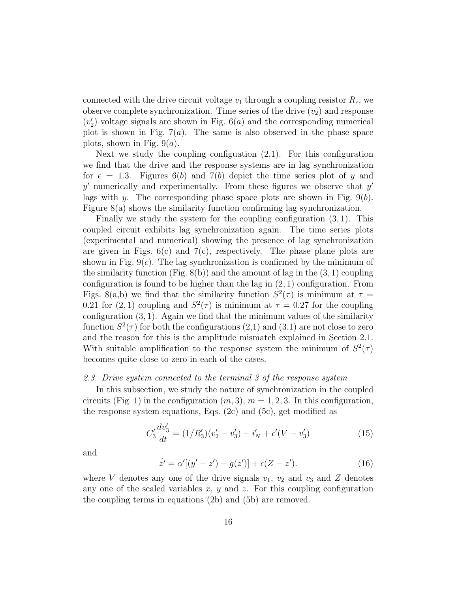connected with the drive circuit voltage  $v_1$  through a coupling resistor  $R_c$ , we observe complete synchronization. Time series of the drive  $(v_2)$  and response  $(v_2')$  $\binom{1}{2}$  voltage signals are shown in Fig. 6(*a*) and the corresponding numerical plot is shown in Fig.  $7(a)$ . The same is also observed in the phase space plots, shown in Fig.  $9(a)$ .

Next we study the coupling configuation  $(2,1)$ . For this configuration we find that the drive and the response systems are in lag synchronization for  $\epsilon = 1.3$ . Figures 6(b) and 7(b) depict the time series plot of y and  $y'$  numerically and experimentally. From these figures we observe that  $y'$ lags with y. The corresponding phase space plots are shown in Fig.  $9(b)$ . Figure 8(a) shows the similarity function confirming lag synchronization.

Finally we study the system for the coupling configuration (3, 1). This coupled circuit exhibits lag synchronization again. The time series plots (experimental and numerical) showing the presence of lag synchronization are given in Figs.  $6(c)$  and  $7(c)$ , respectively. The phase plane plots are shown in Fig.  $9(c)$ . The lag synchronization is confirmed by the minimum of the similarity function (Fig.  $8(b)$ ) and the amount of lag in the  $(3, 1)$  coupling configuration is found to be higher than the lag in  $(2, 1)$  configuration. From Figs. 8(a,b) we find that the similarity function  $S^2(\tau)$  is minimum at  $\tau =$ 0.21 for (2, 1) coupling and  $S^2(\tau)$  is minimum at  $\tau = 0.27$  for the coupling configuration  $(3, 1)$ . Again we find that the minimum values of the similarity function  $S^2(\tau)$  for both the configurations  $(2,1)$  and  $(3,1)$  are not close to zero and the reason for this is the amplitude mismatch explained in Section 2.1. With suitable amplification to the response system the minimum of  $S^2(\tau)$ becomes quite close to zero in each of the cases.

## *2.3. Drive system connected to the terminal 3 of the response system*

In this subsection, we study the nature of synchronization in the coupled circuits (Fig. 1) in the configuration  $(m, 3), m = 1, 2, 3$ . In this configuration, the response system equations, Eqs.  $(2c)$  and  $(5c)$ , get modified as

$$
C_3' \frac{dv_3'}{dt} = (1/R_3')(v_2' - v_3') - i_N' + \epsilon'(V - v_3')
$$
\n(15)

and

$$
\dot{z}' = \alpha'[(y' - z') - g(z')] + \epsilon(Z - z'). \tag{16}
$$

where V denotes any one of the drive signals  $v_1$ ,  $v_2$  and  $v_3$  and Z denotes any one of the scaled variables  $x, y$  and  $z$ . For this coupling configuration the coupling terms in equations (2b) and (5b) are removed.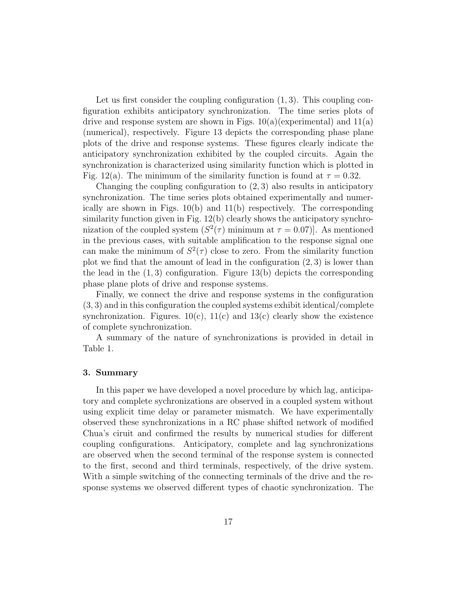Let us first consider the coupling configuration  $(1, 3)$ . This coupling configuration exhibits anticipatory synchronization. The time series plots of drive and response system are shown in Figs.  $10(a)$ (experimental) and  $11(a)$ (numerical), respectively. Figure 13 depicts the corresponding phase plane plots of the drive and response systems. These figures clearly indicate the anticipatory synchronization exhibited by the coupled circuits. Again the synchronization is characterized using similarity function which is plotted in Fig. 12(a). The minimum of the similarity function is found at  $\tau = 0.32$ .

Changing the coupling configuration to  $(2, 3)$  also results in anticipatory synchronization. The time series plots obtained experimentally and numerically are shown in Figs.  $10(b)$  and  $11(b)$  respectively. The corresponding similarity function given in Fig. 12(b) clearly shows the anticipatory synchronization of the coupled system  $(S^2(\tau)$  minimum at  $\tau = 0.07$ ]. As mentioned in the previous cases, with suitable amplification to the response signal one can make the minimum of  $S^2(\tau)$  close to zero. From the similarity function plot we find that the amount of lead in the configuration  $(2, 3)$  is lower than the lead in the  $(1, 3)$  configuration. Figure 13(b) depicts the corresponding phase plane plots of drive and response systems.

Finally, we connect the drive and response systems in the configuration (3, 3) and in this configuration the coupled systems exhibit identical/complete synchronization. Figures.  $10(c)$ ,  $11(c)$  and  $13(c)$  clearly show the existence of complete synchronization.

A summary of the nature of synchronizations is provided in detail in Table 1.

#### 3. Summary

In this paper we have developed a novel procedure by which lag, anticipatory and complete sychronizations are observed in a coupled system without using explicit time delay or parameter mismatch. We have experimentally observed these synchronizations in a RC phase shifted network of modified Chua's ciruit and confirmed the results by numerical studies for different coupling configurations. Anticipatory, complete and lag synchronizations are observed when the second terminal of the response system is connected to the first, second and third terminals, respectively, of the drive system. With a simple switching of the connecting terminals of the drive and the response systems we observed different types of chaotic synchronization. The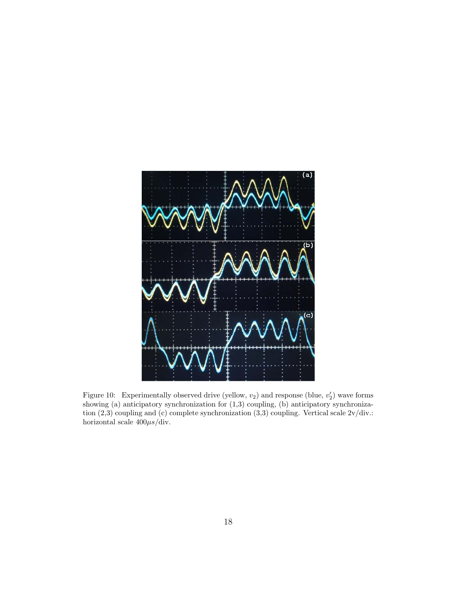

Figure 10: Experimentally observed drive (yellow,  $v_2$ ) and response (blue,  $v_2'$ ) wave forms showing (a) anticipatory synchronization for (1,3) coupling, (b) anticipatory synchronization (2,3) coupling and (c) complete synchronization (3,3) coupling. Vertical scale 2v/div.: horizontal scale  $400\mu s/\text{div}.$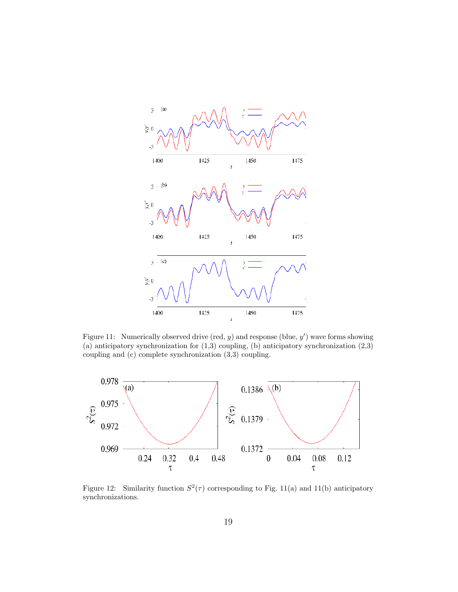

Figure 11: Numerically observed drive (red,  $y$ ) and response (blue,  $y'$ ) wave forms showing (a) anticipatory synchronization for  $(1,3)$  coupling, (b) anticipatory synchronization  $(2,3)$ coupling and (c) complete synchronization (3,3) coupling.



Figure 12: Similarity function  $S^2(\tau)$  corresponding to Fig. 11(a) and 11(b) anticipatory synchronizations.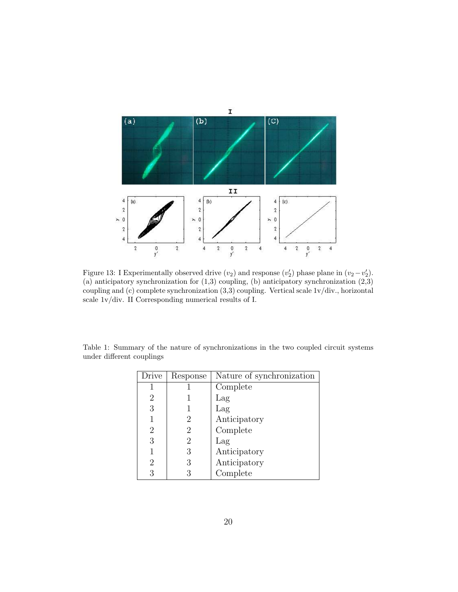

Figure 13: I Experimentally observed drive  $(v_2)$  and response  $(v_2')$  phase plane in  $(v_2 - v_2')$ . (a) anticipatory synchronization for  $(1,3)$  coupling, (b) anticipatory synchronization  $(2,3)$ coupling and (c) complete synchronization (3,3) coupling. Vertical scale 1v/div., horizontal scale 1v/div. II Corresponding numerical results of I.

| Drive | Response | Nature of synchronization |
|-------|----------|---------------------------|
|       |          | Complete                  |
| 2     |          | Lag                       |
| 3     |          | Lag                       |
|       | 2        | Anticipatory              |
| 2     | 2        | Complete                  |
| 3     | 2        | Lag                       |
| 1     | 3        | Anticipatory              |
| 2     | 3        | Anticipatory              |
| 3     | 3        | Complete                  |

Table 1: Summary of the nature of synchronizations in the two coupled circuit systems under different couplings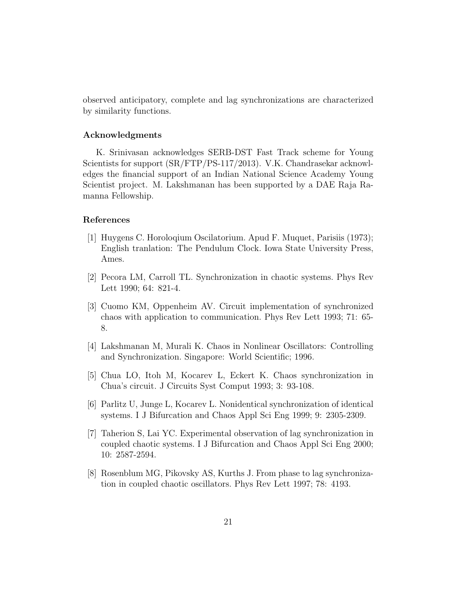observed anticipatory, complete and lag synchronizations are characterized by similarity functions.

## Acknowledgments

K. Srinivasan acknowledges SERB-DST Fast Track scheme for Young Scientists for support (SR/FTP/PS-117/2013). V.K. Chandrasekar acknowledges the financial support of an Indian National Science Academy Young Scientist project. M. Lakshmanan has been supported by a DAE Raja Ramanna Fellowship.

## References

- [1] Huygens C. Horoloqium Oscilatorium. Apud F. Muquet, Parisiis (1973); English tranlation: The Pendulum Clock. Iowa State University Press, Ames.
- [2] Pecora LM, Carroll TL. Synchronization in chaotic systems. Phys Rev Lett 1990; 64: 821-4.
- [3] Cuomo KM, Oppenheim AV. Circuit implementation of synchronized chaos with application to communication. Phys Rev Lett 1993; 71: 65- 8.
- [4] Lakshmanan M, Murali K. Chaos in Nonlinear Oscillators: Controlling and Synchronization. Singapore: World Scientific; 1996.
- [5] Chua LO, Itoh M, Kocarev L, Eckert K. Chaos synchronization in Chua's circuit. J Circuits Syst Comput 1993; 3: 93-108.
- [6] Parlitz U, Junge L, Kocarev L. Nonidentical synchronization of identical systems. I J Bifurcation and Chaos Appl Sci Eng 1999; 9: 2305-2309.
- [7] Taherion S, Lai YC. Experimental observation of lag synchronization in coupled chaotic systems. I J Bifurcation and Chaos Appl Sci Eng 2000; 10: 2587-2594.
- [8] Rosenblum MG, Pikovsky AS, Kurths J. From phase to lag synchronization in coupled chaotic oscillators. Phys Rev Lett 1997; 78: 4193.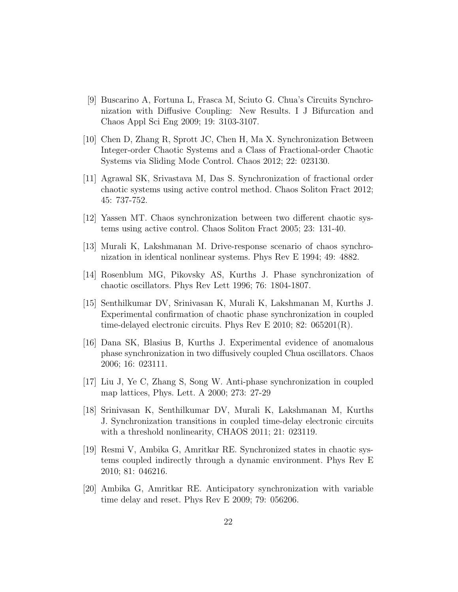- [9] Buscarino A, Fortuna L, Frasca M, Sciuto G. Chua's Circuits Synchronization with Diffusive Coupling: New Results. I J Bifurcation and Chaos Appl Sci Eng 2009; 19: 3103-3107.
- [10] Chen D, Zhang R, Sprott JC, Chen H, Ma X. Synchronization Between Integer-order Chaotic Systems and a Class of Fractional-order Chaotic Systems via Sliding Mode Control. Chaos 2012; 22: 023130.
- [11] Agrawal SK, Srivastava M, Das S. Synchronization of fractional order chaotic systems using active control method. Chaos Soliton Fract 2012; 45: 737-752.
- [12] Yassen MT. Chaos synchronization between two different chaotic systems using active control. Chaos Soliton Fract 2005; 23: 131-40.
- [13] Murali K, Lakshmanan M. Drive-response scenario of chaos synchronization in identical nonlinear systems. Phys Rev E 1994; 49: 4882.
- [14] Rosenblum MG, Pikovsky AS, Kurths J. Phase synchronization of chaotic oscillators. Phys Rev Lett 1996; 76: 1804-1807.
- [15] Senthilkumar DV, Srinivasan K, Murali K, Lakshmanan M, Kurths J. Experimental confirmation of chaotic phase synchronization in coupled time-delayed electronic circuits. Phys Rev E 2010; 82: 065201(R).
- [16] Dana SK, Blasius B, Kurths J. Experimental evidence of anomalous phase synchronization in two diffusively coupled Chua oscillators. Chaos 2006; 16: 023111.
- [17] Liu J, Ye C, Zhang S, Song W. Anti-phase synchronization in coupled map lattices, Phys. Lett. A 2000; 273: 27-29
- [18] Srinivasan K, Senthilkumar DV, Murali K, Lakshmanan M, Kurths J. Synchronization transitions in coupled time-delay electronic circuits with a threshold nonlinearity, CHAOS 2011; 21: 023119.
- [19] Resmi V, Ambika G, Amritkar RE. Synchronized states in chaotic systems coupled indirectly through a dynamic environment. Phys Rev E 2010; 81: 046216.
- [20] Ambika G, Amritkar RE. Anticipatory synchronization with variable time delay and reset. Phys Rev E 2009; 79: 056206.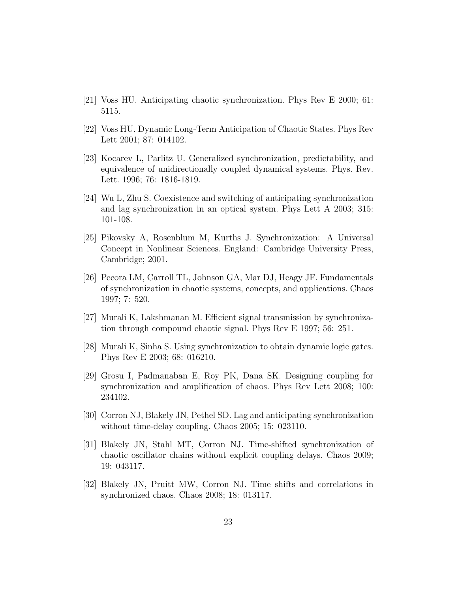- [21] Voss HU. Anticipating chaotic synchronization. Phys Rev E 2000; 61: 5115.
- [22] Voss HU. Dynamic Long-Term Anticipation of Chaotic States. Phys Rev Lett 2001; 87: 014102.
- [23] Kocarev L, Parlitz U. Generalized synchronization, predictability, and equivalence of unidirectionally coupled dynamical systems. Phys. Rev. Lett. 1996; 76: 1816-1819.
- [24] Wu L, Zhu S. Coexistence and switching of anticipating synchronization and lag synchronization in an optical system. Phys Lett A 2003; 315: 101-108.
- [25] Pikovsky A, Rosenblum M, Kurths J. Synchronization: A Universal Concept in Nonlinear Sciences. England: Cambridge University Press, Cambridge; 2001.
- [26] Pecora LM, Carroll TL, Johnson GA, Mar DJ, Heagy JF. Fundamentals of synchronization in chaotic systems, concepts, and applications. Chaos 1997; 7: 520.
- [27] Murali K, Lakshmanan M. Efficient signal transmission by synchronization through compound chaotic signal. Phys Rev E 1997; 56: 251.
- [28] Murali K, Sinha S. Using synchronization to obtain dynamic logic gates. Phys Rev E 2003; 68: 016210.
- [29] Grosu I, Padmanaban E, Roy PK, Dana SK. Designing coupling for synchronization and amplification of chaos. Phys Rev Lett 2008; 100: 234102.
- [30] Corron NJ, Blakely JN, Pethel SD. Lag and anticipating synchronization without time-delay coupling. Chaos 2005; 15: 023110.
- [31] Blakely JN, Stahl MT, Corron NJ. Time-shifted synchronization of chaotic oscillator chains without explicit coupling delays. Chaos 2009; 19: 043117.
- [32] Blakely JN, Pruitt MW, Corron NJ. Time shifts and correlations in synchronized chaos. Chaos 2008; 18: 013117.